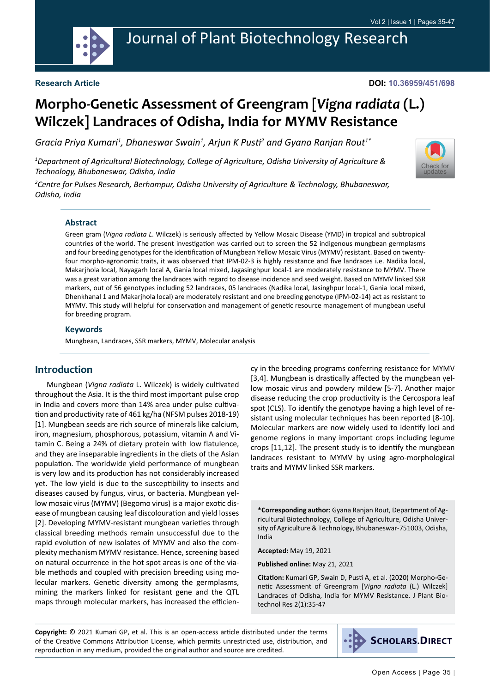

# Journal of Plant Biotechnology Research

### **Research Article**

#### **DOI: 10.36959/451/698**

# **Morpho-Genetic Assessment of Greengram [***Vigna radiata* **(L.) Wilczek] Landraces of Odisha, India for MYMV Resistance**

Gracia Priya Kumari<sup>1</sup>, Dhaneswar Swain<sup>1</sup>, Arjun K Pusti<sup>2</sup> and Gyana Ranjan Rout<sup>1\*</sup>

*1 Department of Agricultural Biotechnology, College of Agriculture, Odisha University of Agriculture & Technology, Bhubaneswar, Odisha, India*



*2 Centre for Pulses Research, Berhampur, Odisha University of Agriculture & Technology, Bhubaneswar, Odisha, India*

#### **Abstract**

Green gram (*Vigna radiata L*. Wilczek) is seriously affected by Yellow Mosaic Disease (YMD) in tropical and subtropical countries of the world. The present investigation was carried out to screen the 52 indigenous mungbean germplasms and four breeding genotypes for the identification of Mungbean Yellow Mosaic Virus (MYMV) resistant. Based on twentyfour morpho-agronomic traits, it was observed that IPM-02-3 is highly resistance and five landraces i.e. Nadika local, Makarjhola local, Nayagarh local A, Gania local mixed, Jagasinghpur local-1 are moderately resistance to MYMV. There was a great variation among the landraces with regard to disease incidence and seed weight. Based on MYMV linked SSR markers, out of 56 genotypes including 52 landraces, 05 landraces (Nadika local, Jasinghpur local-1, Gania local mixed, Dhenkhanal 1 and Makarjhola local) are moderately resistant and one breeding genotype (IPM-02-14) act as resistant to MYMV. This study will helpful for conservation and management of genetic resource management of mungbean useful for breeding program.

### **Keywords**

Mungbean, Landraces, SSR markers, MYMV, Molecular analysis

### **Introduction**

Mungbean (*Vigna radiata* L. Wilczek) is widely cultivated throughout the Asia. It is the third most important pulse crop in India and covers more than 14% area under pulse cultivation and productivity rate of 461 kg/ha (NFSM pulses 2018-19) [1]. Mungbean seeds are rich source of minerals like calcium, iron, magnesium, phosphorous, potassium, vitamin A and Vitamin C. Being a 24% of dietary protein with low flatulence, and they are inseparable ingredients in the diets of the Asian population. The worldwide yield performance of mungbean is very low and its production has not considerably increased yet. The low yield is due to the susceptibility to insects and diseases caused by fungus, virus, or bacteria. Mungbean yellow mosaic virus (MYMV) (Begomo virus) is a major exotic disease of mungbean causing leaf discolouration and yield losses [2]. Developing MYMV-resistant mungbean varieties through classical breeding methods remain unsuccessful due to the rapid evolution of new isolates of MYMV and also the complexity mechanism MYMV resistance. Hence, screening based on natural occurrence in the hot spot areas is one of the viable methods and coupled with precision breeding using molecular markers. Genetic diversity among the germplasms, mining the markers linked for resistant gene and the QTL maps through molecular markers, has increased the efficiency in the breeding programs conferring resistance for MYMV [3,4]. Mungbean is drastically affected by the mungbean yellow mosaic virus and powdery mildew [5-7]. Another major disease reducing the crop productivity is the Cercospora leaf spot (CLS). To identify the genotype having a high level of resistant using molecular techniques has been reported [8-10]. Molecular markers are now widely used to identify loci and genome regions in many important crops including legume crops [11,12]. The present study is to identify the mungbean landraces resistant to MYMV by using agro-morphological traits and MYMV linked SSR markers.

**\*Corresponding author:** Gyana Ranjan Rout, Department of Agricultural Biotechnology, College of Agriculture, Odisha University of Agriculture & Technology, Bhubaneswar-751003, Odisha, India

**Accepted:** May 19, 2021

**Published online:** May 21, 2021

**Citation:** Kumari GP, Swain D, Pusti A, et al. (2020) Morpho-Genetic Assessment of Greengram [*Vigna radiata* (L.) Wilczek] Landraces of Odisha, India for MYMV Resistance. J Plant Biotechnol Res 2(1):35-47

**Copyright:** © 2021 Kumari GP, et al. This is an open-access article distributed under the terms of the Creative Commons Attribution License, which permits unrestricted use, distribution, and reproduction in any medium, provided the original author and source are credited.

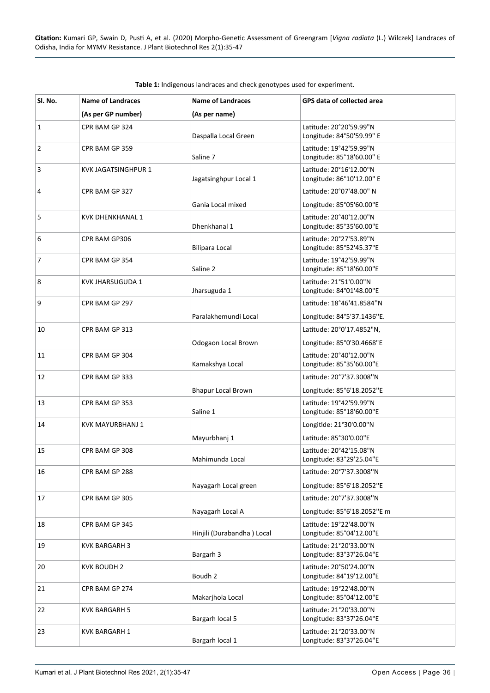| Sl. No.        | <b>Name of Landraces</b>   | <b>Name of Landraces</b>   | <b>GPS data of collected area</b>                       |
|----------------|----------------------------|----------------------------|---------------------------------------------------------|
|                | (As per GP number)         | (As per name)              |                                                         |
| $\mathbf{1}$   | CPR BAM GP 324             | Daspalla Local Green       | Latitude: 20°20'59.99"N<br>Longitude: 84°50'59.99" E    |
| $\overline{2}$ | CPR BAM GP 359             | Saline 7                   | Latitude: 19°42'59.99"N<br>Longitude: 85°18'60.00" E    |
| 3              | <b>KVK JAGATSINGHPUR 1</b> | Jagatsinghpur Local 1      | Latitude: 20°16'12.00"N<br>Longitude: 86°10'12.00" E    |
| 4              | CPR BAM GP 327             | Gania Local mixed          | Latitude: 20°07'48.00" N<br>Longitude: 85°05'60.00"E    |
| 5              | <b>KVK DHENKHANAL 1</b>    | Dhenkhanal 1               | Latitude: 20°40'12.00"N<br>Longitude: 85°35'60.00"E     |
| 6              | CPR BAM GP306              | <b>Bilipara Local</b>      | Latitude: 20°27'53.89"N<br>Longitude: 85°52'45.37"E     |
| 7              | CPR BAM GP 354             | Saline 2                   | Latitude: 19°42'59.99"N<br>Longitude: 85°18'60.00"E     |
| 8              | <b>KVK JHARSUGUDA 1</b>    | Jharsuguda 1               | Latitude: 21°51'0.00"N<br>Longitude: 84°01'48.00"E      |
| 9              | CPR BAM GP 297             | Paralakhemundi Local       | Latitude: 18°46'41.8584"N<br>Longitude: 84°5'37.1436"E. |
| 10             | CPR BAM GP 313             |                            | Latitude: 20°0'17.4852"N,                               |
|                |                            | Odogaon Local Brown        | Longitude: 85°0'30.4668"E                               |
| 11             | CPR BAM GP 304             | Kamakshya Local            | Latitude: 20°40'12.00"N<br>Longitude: 85°35'60.00"E     |
| 12             | CPR BAM GP 333             | <b>Bhapur Local Brown</b>  | Latitude: 20°7'37.3008"N<br>Longitude: 85°6'18.2052"E   |
| 13             | CPR BAM GP 353             | Saline 1                   | Latitude: 19°42'59.99"N<br>Longitude: 85°18'60.00"E     |
| 14             | KVK MAYURBHANJ 1           | Mayurbhanj 1               | Longitide: 21°30'0.00"N<br>Latitude: 85°30'0.00"E       |
| 15             | CPR BAM GP 308             | Mahimunda Local            | Latitude: 20°42'15.08"N<br>Longitude: 83°29'25.04"E     |
| 16             | CPR BAM GP 288             | Nayagarh Local green       | Latitude: 20°7'37.3008"N<br>Longitude: 85°6'18.2052"E   |
| 17             | CPR BAM GP 305             | Nayagarh Local A           | Latitude: 20°7'37.3008"N<br>Longitude: 85°6'18.2052"E m |
| 18             | CPR BAM GP 345             | Hinjili (Durabandha) Local | Latitude: 19°22'48.00"N<br>Longitude: 85°04'12.00"E     |
| 19             | <b>KVK BARGARH 3</b>       | Bargarh 3                  | Latitude: 21°20'33.00"N<br>Longitude: 83°37'26.04"E     |
| 20             | <b>KVK BOUDH 2</b>         | Boudh 2                    | Latitude: 20°50'24.00"N<br>Longitude: 84°19'12.00"E     |
| 21             | CPR BAM GP 274             | Makarjhola Local           | Latitude: 19°22'48.00"N<br>Longitude: 85°04'12.00"E     |
| 22             | <b>KVK BARGARH 5</b>       | Bargarh local 5            | Latitude: 21°20'33.00"N<br>Longitude: 83°37'26.04"E     |
| 23             | <b>KVK BARGARH 1</b>       | Bargarh local 1            | Latitude: 21°20'33.00"N<br>Longitude: 83°37'26.04"E     |

<span id="page-1-0"></span>**Table 1:** Indigenous landraces and check genotypes used for experiment.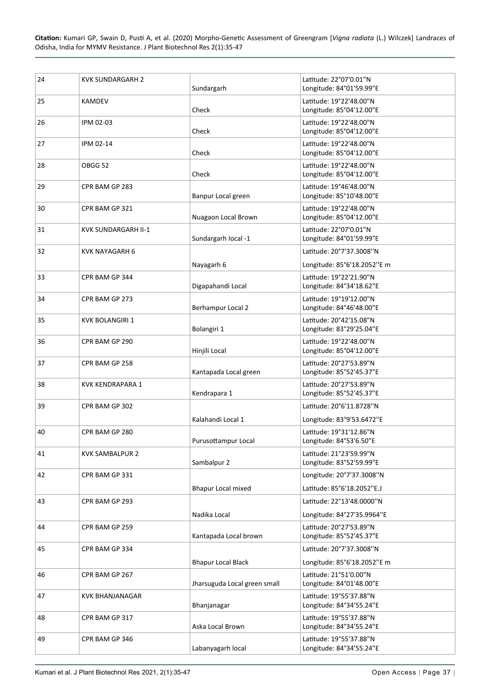| 24 | <b>KVK SUNDARGARH 2</b> | Sundargarh                   | Latitude: 22°07'0.01"N<br>Longitude: 84°01'59.99"E      |
|----|-------------------------|------------------------------|---------------------------------------------------------|
| 25 | KAMDEV                  | Check                        | Latitude: 19°22'48.00"N<br>Longitude: 85°04'12.00"E     |
| 26 | IPM 02-03               | Check                        | Latitude: 19°22'48.00"N<br>Longitude: 85°04'12.00"E     |
| 27 | IPM 02-14               | Check                        | Latitude: 19°22'48.00"N<br>Longitude: 85°04'12.00"E     |
| 28 | OBGG 52                 | Check                        | Latitude: 19°22'48.00"N<br>Longitude: 85°04'12.00"E     |
| 29 | CPR BAM GP 283          | Banpur Local green           | Latitude: 19°46'48.00"N<br>Longitude: 85°10'48.00"E     |
| 30 | CPR BAM GP 321          | Nuagaon Local Brown          | Latitude: 19°22'48.00"N<br>Longitude: 85°04'12.00"E     |
| 31 | KVK SUNDARGARH II-1     | Sundargarh local -1          | Latitude: 22°07'0.01"N<br>Longitude: 84°01'59.99"E      |
| 32 | <b>KVK NAYAGARH 6</b>   |                              | Latitude: 20°7'37.3008"N                                |
| 33 | CPR BAM GP 344          | Nayagarh 6                   | Longitude: 85°6'18.2052"E m<br>Latitude: 19°22'21.90"N  |
| 34 | CPR BAM GP 273          | Digapahandi Local            | Longitude: 84°34'18.62"E<br>Latitude: 19°19'12.00"N     |
|    |                         | Berhampur Local 2            | Longitude: 84°46'48.00"E                                |
| 35 | <b>KVK BOLANGIRI 1</b>  | Bolangiri 1                  | Latitude: 20°42'15.08"N<br>Longitude: 83°29'25.04"E     |
| 36 | CPR BAM GP 290          | Hinjili Local                | Latitude: 19°22'48.00"N<br>Longitude: 85°04'12.00"E     |
| 37 | CPR BAM GP 258          | Kantapada Local green        | Latitude: 20°27'53.89"N<br>Longitude: 85°52'45.37"E     |
| 38 | <b>KVK KENDRAPARA 1</b> | Kendrapara 1                 | Latitude: 20°27'53.89"N<br>Longitude: 85°52'45.37"E     |
| 39 | CPR BAM GP 302          |                              | Latitude: 20°6'11.8728"N                                |
|    |                         | Kalahandi Local 1            | Longitude: 83°9'53.6472"E                               |
| 40 | CPR BAM GP 280          | Purusottampur Local          | Latitude: 19°31'12.86"N<br>Longitude: 84°53'6.50"E      |
| 41 | <b>KVK SAMBALPUR 2</b>  | Sambalpur 2                  | Latitude: 21°23'59.99"N<br>Longitude: 83°52'59.99"E     |
| 42 | CPR BAM GP 331          | <b>Bhapur Local mixed</b>    | Longitude: 20°7'37.3008"N<br>Latitude: 85°6'18.2052"E.J |
| 43 | CPR BAM GP 293          |                              | Latitude: 22°13'48.0000"N                               |
|    |                         | Nadika Local                 | Longitude: 84°27'35.9964"E                              |
| 44 | CPR BAM GP 259          | Kantapada Local brown        | Latitude: 20°27'53.89"N<br>Longitude: 85°52'45.37"E     |
| 45 | CPR BAM GP 334          |                              | Latitude: 20°7'37.3008"N                                |
|    |                         | <b>Bhapur Local Black</b>    | Longitude: 85°6'18.2052"E m                             |
| 46 | CPR BAM GP 267          | Jharsuguda Local green small | Latitude: 21°51'0.00"N<br>Longitude: 84°01'48.00"E      |
| 47 | <b>KVK BHANJANAGAR</b>  | Bhanjanagar                  | Latitude: 19°55'37.88"N<br>Longitude: 84°34'55.24"E     |
| 48 | CPR BAM GP 317          | Aska Local Brown             | Latitude: 19°55'37.88"N<br>Longitude: 84°34'55.24"E     |
| 49 | CPR BAM GP 346          | Labanyagarh local            | Latitude: 19°55'37.88"N<br>Longitude: 84°34'55.24"E     |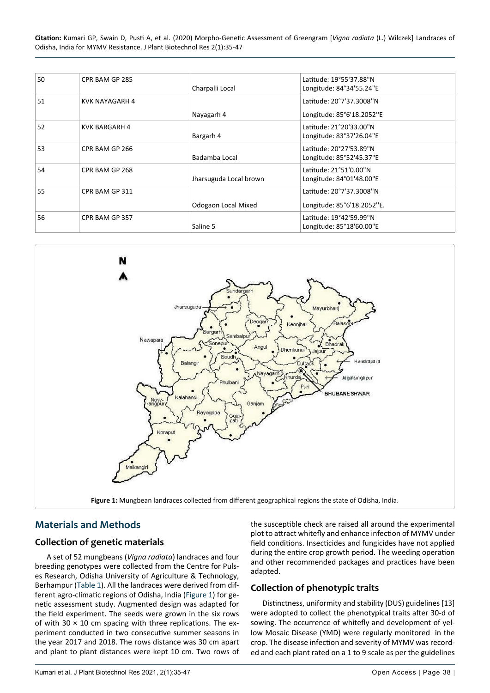| 50 | CPR BAM GP 285        | Charpalli Local        | Latitude: 19°55'37.88"N<br>Longitude: 84°34'55.24"E    |
|----|-----------------------|------------------------|--------------------------------------------------------|
| 51 | <b>KVK NAYAGARH 4</b> |                        | Latitude: 20°7'37.3008"N                               |
|    |                       | Nayagarh 4             | Longitude: 85°6'18.2052"E                              |
| 52 | <b>KVK BARGARH 4</b>  | Bargarh 4              | Latitude: 21°20'33.00"N<br>Longitude: 83°37'26.04"E    |
| 53 | CPR BAM GP 266        | Badamba Local          | Latitude: 20°27'53.89"N<br>Longitude: 85°52'45.37"E    |
| 54 | CPR BAM GP 268        | Jharsuguda Local brown | Latitude: 21°51'0.00"N<br>Longitude: 84°01'48.00"E     |
| 55 | CPR BAM GP 311        | Odogaon Local Mixed    | Latitude: 20°7'37.3008"N<br>Longitude: 85°6'18.2052"E. |
| 56 | CPR BAM GP 357        | Saline 5               | Latitude: 19°42'59.99"N<br>Longitude: 85°18'60.00"E    |

<span id="page-3-0"></span>

## **Materials and Methods**

## **Collection of genetic materials**

A set of 52 mungbeans (*Vigna radiata*) landraces and four breeding genotypes were collected from the Centre for Pulses Research, Odisha University of Agriculture & Technology, Berhampur ([Table 1\)](#page-1-0). All the landraces were derived from different agro-climatic regions of Odisha, India ([Figure 1](#page-3-0)) for genetic assessment study. Augmented design was adapted for the field experiment. The seeds were grown in the six rows of with 30  $\times$  10 cm spacing with three replications. The experiment conducted in two consecutive summer seasons in the year 2017 and 2018. The rows distance was 30 cm apart and plant to plant distances were kept 10 cm. Two rows of the susceptible check are raised all around the experimental plot to attract whitefly and enhance infection of MYMV under field conditions. Insecticides and fungicides have not applied during the entire crop growth period. The weeding operation and other recommended packages and practices have been adapted.

## **Collection of phenotypic traits**

Distinctness, uniformity and stability (DUS) guidelines [13] were adopted to collect the phenotypical traits after 30-d of sowing. The occurrence of whitefly and development of yellow Mosaic Disease (YMD) were regularly monitored in the crop. The disease infection and severity of MYMV was recorded and each plant rated on a 1 to 9 scale as per the guidelines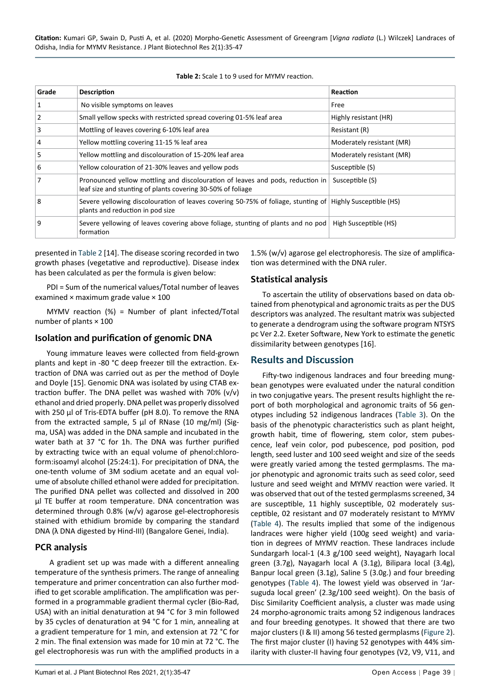<span id="page-4-0"></span>

| Table 2: Scale 1 to 9 used for MYMV reaction. |
|-----------------------------------------------|
|-----------------------------------------------|

| Grade | <b>Description</b>                                                                                                                            | Reaction                  |
|-------|-----------------------------------------------------------------------------------------------------------------------------------------------|---------------------------|
| 1     | No visible symptoms on leaves                                                                                                                 | Free                      |
| 2     | Small yellow specks with restricted spread covering 01-5% leaf area                                                                           | Highly resistant (HR)     |
| 3     | Mottling of leaves covering 6-10% leaf area                                                                                                   | Resistant (R)             |
| 4     | Yellow mottling covering 11-15 % leaf area                                                                                                    | Moderately resistant (MR) |
| 5     | Yellow mottling and discolouration of 15-20% leaf area                                                                                        | Moderately resistant (MR) |
| 6     | Yellow colouration of 21-30% leaves and yellow pods                                                                                           | Susceptible (S)           |
| 7     | Pronounced yellow mottling and discolouration of leaves and pods, reduction in<br>leaf size and stunting of plants covering 30-50% of foliage | Susceptible (S)           |
| 8     | Severe yellowing discolouration of leaves covering 50-75% of foliage, stunting of Highly Susceptible (HS)<br>plants and reduction in pod size |                           |
| q     | Severe yellowing of leaves covering above foliage, stunting of plants and no pod<br>formation                                                 | High Susceptible (HS)     |
|       |                                                                                                                                               |                           |

presented in [Table 2](#page-4-0) [14]. The disease scoring recorded in two growth phases (vegetative and reproductive). Disease index has been calculated as per the formula is given below:

PDI = Sum of the numerical values/Total number of leaves examined × maximum grade value × 100

MYMV reaction (%) = Number of plant infected/Total number of plants × 100

## **Isolation and purification of genomic DNA**

Young immature leaves were collected from field-grown plants and kept in -80 °C deep freezer till the extraction. Extraction of DNA was carried out as per the method of Doyle and Doyle [15]. Genomic DNA was isolated by using CTAB extraction buffer. The DNA pellet was washed with 70% (v/v) ethanol and dried properly. DNA pellet was properly dissolved with 250 μl of Tris-EDTA buffer (pH 8.0). To remove the RNA from the extracted sample, 5 μl of RNase (10 mg/ml) (Sigma, USA) was added in the DNA sample and incubated in the water bath at 37 °C for 1h. The DNA was further purified by extracting twice with an equal volume of phenol:chloroform:isoamyl alcohol (25:24:1). For precipitation of DNA, the one-tenth volume of 3M sodium acetate and an equal volume of absolute chilled ethanol were added for precipitation. The purified DNA pellet was collected and dissolved in 200 μl TE buffer at room temperature. DNA concentration was determined through 0.8% (w/v) agarose gel-electrophoresis stained with ethidium bromide by comparing the standard DNA (λ DNA digested by Hind-III) (Bangalore Genei, India).

## **PCR analysis**

A gradient set up was made with a different annealing temperature of the synthesis primers. The range of annealing temperature and primer concentration can also further modified to get scorable amplification. The amplification was performed in a programmable gradient thermal cycler (Bio-Rad, USA) with an initial denaturation at 94 °C for 3 min followed by 35 cycles of denaturation at 94 °C for 1 min, annealing at a gradient temperature for 1 min, and extension at 72 °C for 2 min. The final extension was made for 10 min at 72 °C. The gel electrophoresis was run with the amplified products in a

1.5% (w/v) agarose gel electrophoresis. The size of amplification was determined with the DNA ruler.

## **Statistical analysis**

To ascertain the utility of observations based on data obtained from phenotypical and agronomic traits as per the DUS descriptors was analyzed. The resultant matrix was subjected to generate a dendrogram using the software program NTSYS pc Ver 2.2. Exeter Software, New York to estimate the genetic dissimilarity between genotypes [16].

## **Results and Discussion**

Fifty-two indigenous landraces and four breeding mungbean genotypes were evaluated under the natural condition in two conjugative years. The present results highlight the report of both morphological and agronomic traits of 56 genotypes including 52 indigenous landraces ([Table 3](#page-5-0)). On the basis of the phenotypic characteristics such as plant height, growth habit, time of flowering, stem color, stem pubescence, leaf vein color, pod pubescence, pod position, pod length, seed luster and 100 seed weight and size of the seeds were greatly varied among the tested germplasms. The major phenotypic and agronomic traits such as seed color, seed lusture and seed weight and MYMV reaction were varied. It was observed that out of the tested germplasms screened, 34 are susceptible, 11 highly susceptible, 02 moderately susceptible, 02 resistant and 07 moderately resistant to MYMV ([Table 4\)](#page-8-0). The results implied that some of the indigenous landraces were higher yield (100g seed weight) and variation in degrees of MYMV reaction. These landraces include Sundargarh local-1 (4.3 g/100 seed weight), Nayagarh local green (3.7g), Nayagarh local A (3.1g), Bilipara local (3.4g), Banpur local green (3.1g), Saline 5 (3.0g.) and four breeding genotypes [\(Table 4](#page-8-0)). The lowest yield was observed in 'Jarsuguda local green' (2.3g/100 seed weight). On the basis of Disc Similarity Coefficient analysis, a cluster was made using 24 morpho-agronomic traits among 52 indigenous landraces and four breeding genotypes. It showed that there are two major clusters (I & II) among 56 tested germplasms ([Figure 2](#page-7-0)). The first major cluster (I) having 52 genotypes with 44% similarity with cluster-II having four genotypes (V2, V9, V11, and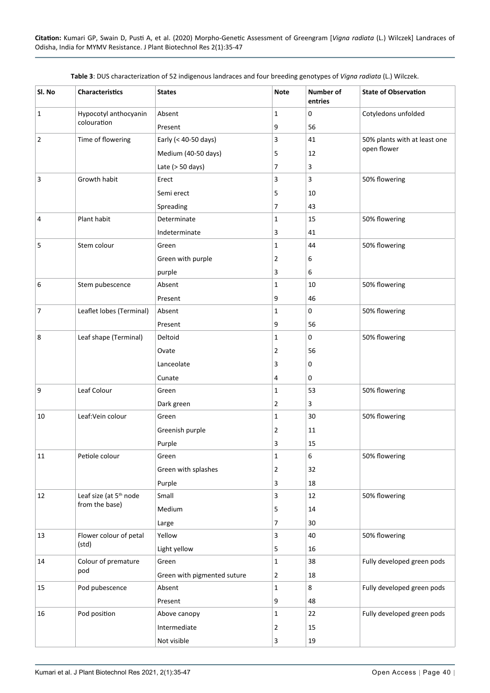| Sl. No         | Characteristics                    | <b>States</b>               | <b>Note</b>  | Number of<br>entries | <b>State of Observation</b>  |  |
|----------------|------------------------------------|-----------------------------|--------------|----------------------|------------------------------|--|
| $\mathbf{1}$   | Hypocotyl anthocyanin              | Absent                      | $\mathbf{1}$ | 0                    | Cotyledons unfolded          |  |
|                | colouration                        | Present                     | 9            | 56                   |                              |  |
| 2              | Time of flowering                  | Early (< 40-50 days)        | 3            | 41                   | 50% plants with at least one |  |
|                |                                    | Medium (40-50 days)         | 5            | 12                   | open flower                  |  |
|                |                                    | Late $(> 50 \text{ days})$  | 7            | 3                    |                              |  |
| 3              | Growth habit                       | Erect                       | 3            | 3                    | 50% flowering                |  |
|                |                                    | Semi erect                  | 5            | 10                   |                              |  |
|                |                                    | Spreading                   | 7            | 43                   |                              |  |
| 4              | Plant habit                        | Determinate                 | $\mathbf{1}$ | 15                   | 50% flowering                |  |
|                |                                    | Indeterminate               | 3            | 41                   |                              |  |
| 5              | Stem colour                        | Green                       | $\mathbf{1}$ | 44                   | 50% flowering                |  |
|                |                                    | Green with purple           | 2            | 6                    |                              |  |
|                |                                    | purple                      | 3            | 6                    |                              |  |
| 6              | Stem pubescence                    | Absent                      | 1            | 10                   | 50% flowering                |  |
|                |                                    | Present                     | 9            | 46                   |                              |  |
| $\overline{7}$ | Leaflet lobes (Terminal)           | Absent                      | 1            | 0                    | 50% flowering                |  |
|                |                                    | Present                     | 9            | 56                   |                              |  |
| 8              | Leaf shape (Terminal)              | Deltoid                     | $\mathbf{1}$ | 0                    | 50% flowering                |  |
|                |                                    | Ovate                       | 2            | 56                   |                              |  |
|                |                                    | Lanceolate                  | 3            | 0                    |                              |  |
|                |                                    | Cunate                      | 4            | 0                    |                              |  |
| 9              | Leaf Colour                        | Green                       | 1            | 53                   | 50% flowering                |  |
|                |                                    | Dark green                  | 2            | 3                    |                              |  |
| 10             | Leaf: Vein colour                  | Green                       | 1            | 30                   | 50% flowering                |  |
|                |                                    | Greenish purple             | 2            | 11                   |                              |  |
|                |                                    | Purple                      | 3            | 15                   |                              |  |
| 11             | Petiole colour                     | Green                       | $\mathbf 1$  | 6                    | 50% flowering                |  |
|                |                                    | Green with splashes         | 2            | 32                   |                              |  |
|                |                                    | Purple                      | 3            | 18                   |                              |  |
| 12             | Leaf size (at 5 <sup>th</sup> node | Small                       | 3            | 12                   | 50% flowering                |  |
|                | from the base)                     | Medium                      | 5            | 14                   |                              |  |
|                |                                    | Large                       | 7            | 30                   |                              |  |
| 13             | Flower colour of petal             | Yellow                      | 3            | 40                   | 50% flowering                |  |
|                | (std)                              | Light yellow                | 5            | 16                   |                              |  |
| 14             | Colour of premature                | Green                       | 1            | 38                   | Fully developed green pods   |  |
|                | pod                                | Green with pigmented suture | 2            | 18                   |                              |  |
| 15             | Pod pubescence                     | Absent                      | 1            | 8                    | Fully developed green pods   |  |
|                |                                    | Present                     | 9            | 48                   |                              |  |
| 16             | Pod position                       | Above canopy                | 1            | 22                   | Fully developed green pods   |  |
|                |                                    | Intermediate                | 2            | 15                   |                              |  |
|                |                                    | Not visible                 | 3            | 19                   |                              |  |

<span id="page-5-0"></span>**Table 3**: DUS characterization of 52 indigenous landraces and four breeding genotypes of *Vigna radiata* (L.) Wilczek.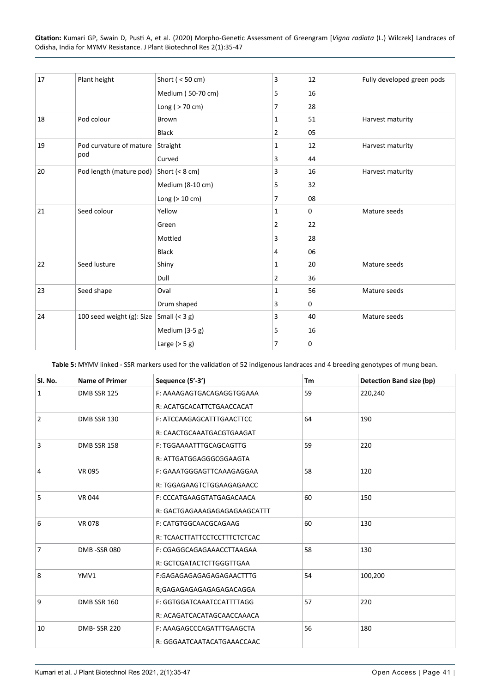| 17  | Plant height              | Short ( $<$ 50 cm) | 3              | 12          | Fully developed green pods |
|-----|---------------------------|--------------------|----------------|-------------|----------------------------|
|     |                           | Medium (50-70 cm)  | 5              | 16          |                            |
|     |                           | Long ( $> 70$ cm)  | $\overline{7}$ | 28          |                            |
| 18  | Pod colour                | Brown              | 1              | 51          | Harvest maturity           |
|     |                           | <b>Black</b>       | $\overline{2}$ | 05          |                            |
| 19  | Pod curvature of mature   | Straight           | 1              | 12          | Harvest maturity           |
| pod |                           | Curved             | 3              | 44          |                            |
| 20  | Pod length (mature pod)   | Short $(< 8 cm)$   | 3              | 16          | Harvest maturity           |
|     |                           | Medium (8-10 cm)   | 5              | 32          |                            |
|     |                           | Long ( $>10$ cm)   | $\overline{7}$ | 08          |                            |
| 21  | Seed colour               | Yellow             | $\mathbf{1}$   | $\mathbf 0$ | Mature seeds               |
|     |                           | Green              | 2              | 22          |                            |
|     |                           | Mottled            | 3              | 28          |                            |
|     |                           | <b>Black</b>       | 4              | 06          |                            |
| 22  | Seed lusture              | Shiny              | 1              | 20          | Mature seeds               |
|     |                           | Dull               | $\overline{2}$ | 36          |                            |
| 23  | Seed shape                | Oval               | 1              | 56          | Mature seeds               |
|     |                           | Drum shaped        | 3              | $\mathbf 0$ |                            |
| 24  | 100 seed weight (g): Size | Small $(< 3 g)$    | 3              | 40          | Mature seeds               |
|     |                           | Medium (3-5 g)     | 5              | 16          |                            |
|     |                           | Large $(> 5 g)$    | 7              | 0           |                            |

<span id="page-6-0"></span>**Table 5:** MYMV linked - SSR markers used for the validation of 52 indigenous landraces and 4 breeding genotypes of mung bean.

| Sl. No.        | <b>Name of Primer</b> | Sequence (5'-3')             | Tm | Detection Band size (bp) |  |
|----------------|-----------------------|------------------------------|----|--------------------------|--|
| $\mathbf{1}$   | DMB SSR 125           | F: AAAAGAGTGACAGAGGTGGAAA    | 59 | 220,240                  |  |
|                |                       | R: ACATGCACATTCTGAACCACAT    |    |                          |  |
| $\overline{2}$ | DMB SSR 130           | F: ATCCAAGAGCATTTGAACTTCC    | 64 | 190                      |  |
|                |                       | R: CAACTGCAAATGACGTGAAGAT    |    |                          |  |
| $\overline{3}$ | DMB SSR 158           | F: TGGAAAATTTGCAGCAGTTG      | 59 | 220                      |  |
|                |                       | R: ATTGATGGAGGGCGGAAGTA      |    |                          |  |
| $\overline{4}$ | <b>VR 095</b>         | F: GAAATGGGAGTTCAAAGAGGAA    | 58 | 120                      |  |
|                |                       | R: TGGAGAAGTCTGGAAGAGAACC    |    |                          |  |
| 5              | <b>VR 044</b>         | F: CCCATGAAGGTATGAGACAACA    | 60 | 150                      |  |
|                |                       | R: GACTGAGAAAGAGAGAGAAGCATTT |    |                          |  |
| 6              | <b>VR 078</b>         | F: CATGTGGCAACGCAGAAG        | 60 | 130                      |  |
|                |                       | R: TCAACTTATTCCTCCTTTCTCTCAC |    |                          |  |
| $\overline{7}$ | DMB-SSR080            | F: CGAGGCAGAGAAACCTTAAGAA    | 58 | 130                      |  |
|                |                       | R: GCTCGATACTCTTGGGTTGAA     |    |                          |  |
| 8              | YMV1                  | F:GAGAGAGAGAGAGAGAACTTTG     | 54 | 100,200                  |  |
|                |                       | R;GAGAGAGAGAGAGAGACAGGA      |    |                          |  |
| 9              | <b>DMB SSR 160</b>    | F: GGTGGATCAAATCCATTTTAGG    | 57 | 220                      |  |
|                |                       | R: ACAGATCACATAGCAACCAAACA   |    |                          |  |
| 10             | <b>DMB-SSR 220</b>    | F: AAAGAGCCCAGATTTGAAGCTA    | 56 | 180                      |  |
|                |                       | R: GGGAATCAATACATGAAACCAAC   |    |                          |  |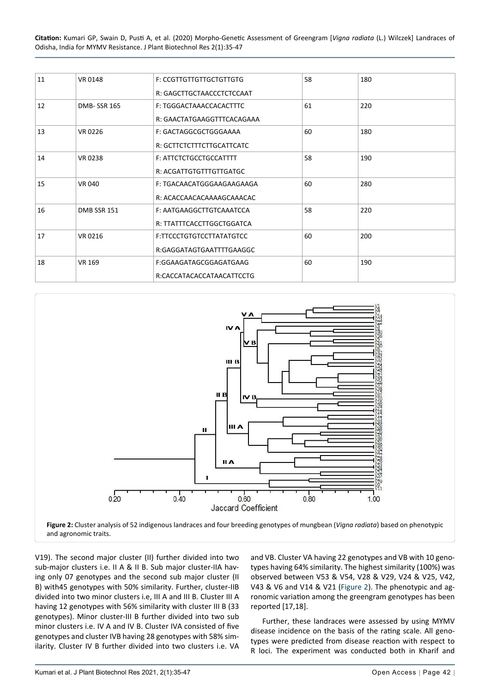| 11 | VR 0148            | <b>F: CCGTTGTTGTTGCTGTTGTG</b> | 58 | 180 |
|----|--------------------|--------------------------------|----|-----|
|    |                    | R: GAGCTTGCTAACCCTCTCCAAT      |    |     |
| 12 | <b>DMB-SSR 165</b> | F: TGGGACTAAACCACACTTTC        | 61 | 220 |
|    |                    | R: GAACTATGAAGGTTTCACAGAAA     |    |     |
| 13 | VR 0226            | F: GACTAGGCGCTGGGAAAA          | 60 | 180 |
|    |                    | R: GCTTCTCTTTCTTGCATTCATC      |    |     |
| 14 | VR 0238            | F: ATTCTCTGCCTGCCATTTT         | 58 | 190 |
|    |                    | R: ACGATTGTGTTTGTTGATGC        |    |     |
| 15 | <b>VR 040</b>      | F: TGACAACATGGGAAGAAGAAGA      | 60 | 280 |
|    |                    | R: ACACCAACACAAAAGCAAACAC      |    |     |
| 16 | DMB SSR 151        | F: AATGAAGGCTTGTCAAATCCA       | 58 | 220 |
|    |                    | R: TTATTTCACCTTGGCTGGATCA      |    |     |
| 17 | VR 0216            | F:TTCCCTGTGTCCTTATATGTCC       | 60 | 200 |
|    |                    | R:GAGGATAGTGAATTTTGAAGGC       |    |     |
| 18 | <b>VR 169</b>      | F:GGAAGATAGCGGAGATGAAG         | 60 | 190 |
|    |                    | R:CACCATACACCATAACATTCCTG      |    |     |

<span id="page-7-0"></span>

V19). The second major cluster (II) further divided into two sub-major clusters i.e. II A & II B. Sub major cluster-IIA having only 07 genotypes and the second sub major cluster (II B) with45 genotypes with 50% similarity. Further, cluster-IIB divided into two minor clusters i.e, III A and III B. Cluster III A having 12 genotypes with 56% similarity with cluster III B (33 genotypes). Minor cluster-III B further divided into two sub minor clusters i.e. IV A and IV B. Cluster IVA consisted of five genotypes and cluster IVB having 28 genotypes with 58% similarity. Cluster IV B further divided into two clusters i.e. VA and VB. Cluster VA having 22 genotypes and VB with 10 genotypes having 64% similarity. The highest similarity (100%) was observed between V53 & V54, V28 & V29, V24 & V25, V42, V43 & V6 and V14 & V21 [\(Figure 2](#page-7-0)). The phenotypic and agronomic variation among the greengram genotypes has been reported [17,18].

Further, these landraces were assessed by using MYMV disease incidence on the basis of the rating scale. All genotypes were predicted from disease reaction with respect to R loci. The experiment was conducted both in Kharif and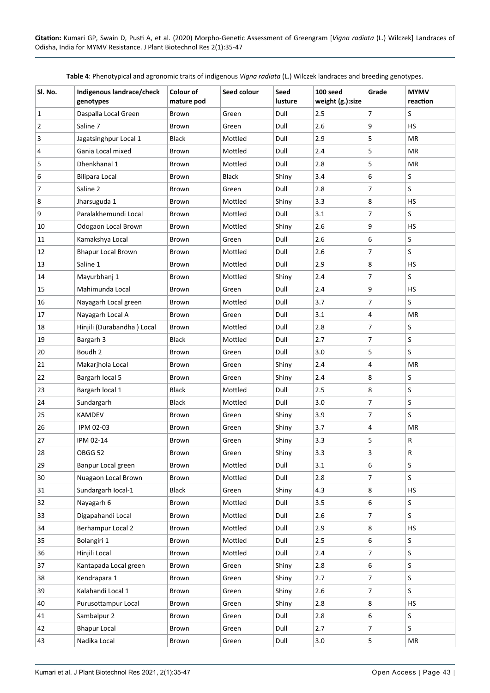| Sl. No. | Indigenous landrace/check<br>genotypes | Colour of<br>mature pod | Seed colour  | Seed<br>lusture | 100 seed<br>weight (g.):size | Grade          | <b>MYMV</b><br>reaction |
|---------|----------------------------------------|-------------------------|--------------|-----------------|------------------------------|----------------|-------------------------|
| 1       | Daspalla Local Green                   | Brown                   | Green        | Dull            | 2.5                          | 7              | S                       |
| 2       | Saline 7                               | Brown                   | Green        | Dull            | 2.6                          | 9              | <b>HS</b>               |
| 3       | Jagatsinghpur Local 1                  | Black                   | Mottled      | Dull            | 2.9                          | 5              | MR                      |
| 4       | Gania Local mixed                      | Brown                   | Mottled      | Dull            | 2.4                          | 5              | <b>MR</b>               |
| 5       | Dhenkhanal 1                           | Brown                   | Mottled      | Dull            | 2.8                          | 5              | MR                      |
| 6       | <b>Bilipara Local</b>                  | Brown                   | <b>Black</b> | Shiny           | 3.4                          | 6              | S                       |
| 7       | Saline 2                               | Brown                   | Green        | Dull            | 2.8                          | $\overline{7}$ | S                       |
| 8       | Jharsuguda 1                           | Brown                   | Mottled      | Shiny           | 3.3                          | 8              | <b>HS</b>               |
| 9       | Paralakhemundi Local                   | Brown                   | Mottled      | Dull            | 3.1                          | $\overline{7}$ | S                       |
| 10      | Odogaon Local Brown                    | Brown                   | Mottled      | Shiny           | 2.6                          | 9              | <b>HS</b>               |
| 11      | Kamakshya Local                        | Brown                   | Green        | Dull            | 2.6                          | 6              | S                       |
| 12      | <b>Bhapur Local Brown</b>              | Brown                   | Mottled      | Dull            | 2.6                          | $\overline{7}$ | S                       |
| 13      | Saline 1                               | Brown                   | Mottled      | Dull            | 2.9                          | 8              | <b>HS</b>               |
| 14      | Mayurbhanj 1                           | Brown                   | Mottled      | Shiny           | 2.4                          | $\overline{7}$ | S                       |
| 15      | Mahimunda Local                        | Brown                   | Green        | Dull            | 2.4                          | 9              | <b>HS</b>               |
| 16      | Nayagarh Local green                   | Brown                   | Mottled      | Dull            | 3.7                          | 7              | S                       |
| 17      | Nayagarh Local A                       | Brown                   | Green        | Dull            | 3.1                          | 4              | <b>MR</b>               |
| 18      | Hinjili (Durabandha) Local             | Brown                   | Mottled      | Dull            | 2.8                          | $\overline{7}$ | S                       |
| 19      | Bargarh 3                              | <b>Black</b>            | Mottled      | Dull            | 2.7                          | 7              | S                       |
| 20      | Boudh 2                                | Brown                   | Green        | Dull            | 3.0                          | 5              | S                       |
| 21      | Makarjhola Local                       | Brown                   | Green        | Shiny           | 2.4                          | 4              | <b>MR</b>               |
| 22      | Bargarh local 5                        | Brown                   | Green        | Shiny           | 2.4                          | 8              | S                       |
| 23      | Bargarh local 1                        | Black                   | Mottled      | Dull            | 2.5                          | 8              | S                       |
| 24      | Sundargarh                             | Black                   | Mottled      | Dull            | 3.0                          | $\overline{7}$ | S                       |
| 25      | KAMDEV                                 | Brown                   | Green        | Shiny           | 3.9                          | $\overline{7}$ | S                       |
| 26      | IPM 02-03                              | Brown                   | Green        | Shiny           | 3.7                          | 4              | <b>MR</b>               |
| 27      | IPM 02-14                              | Brown                   | Green        | Shiny           | 3.3                          | 5              | R                       |
| 28      | OBGG 52                                | Brown                   | Green        | Shiny           | 3.3                          | 3              | R                       |
| 29      | Banpur Local green                     | Brown                   | Mottled      | Dull            | 3.1                          | 6              | S.                      |
| 30      | Nuagaon Local Brown                    | Brown                   | Mottled      | Dull            | 2.8                          | 7              | S                       |
| 31      | Sundargarh local-1                     | <b>Black</b>            | Green        | Shiny           | 4.3                          | 8              | <b>HS</b>               |
| 32      | Nayagarh 6                             | Brown                   | Mottled      | Dull            | 3.5                          | 6              | S                       |
| 33      | Digapahandi Local                      | Brown                   | Mottled      | Dull            | 2.6                          | 7              | S                       |
| 34      | Berhampur Local 2                      | Brown                   | Mottled      | Dull            | 2.9                          | 8              | HS                      |
| 35      | Bolangiri 1                            | Brown                   | Mottled      | Dull            | 2.5                          | 6              | S                       |
| 36      | Hinjili Local                          | Brown                   | Mottled      | Dull            | 2.4                          | 7              | S                       |
| 37      | Kantapada Local green                  | Brown                   | Green        | Shiny           | 2.8                          | 6              | S                       |
| 38      | Kendrapara 1                           | Brown                   | Green        | Shiny           | 2.7                          | $\overline{7}$ | S                       |
| 39      | Kalahandi Local 1                      | Brown                   | Green        | Shiny           | 2.6                          | 7              | S                       |
| 40      | Purusottampur Local                    | Brown                   | Green        | Shiny           | 2.8                          | 8              | <b>HS</b>               |
| 41      | Sambalpur 2                            | Brown                   | Green        | Dull            | 2.8                          | 6              | S                       |
| 42      | <b>Bhapur Local</b>                    | Brown                   | Green        | Dull            | 2.7                          | $\overline{7}$ | S                       |
| 43      | Nadika Local                           | Brown                   | Green        | Dull            | 3.0                          | 5              | MR                      |

<span id="page-8-0"></span>**Table 4**: Phenotypical and agronomic traits of indigenous *Vigna radiata* (L.) Wilczek landraces and breeding genotypes.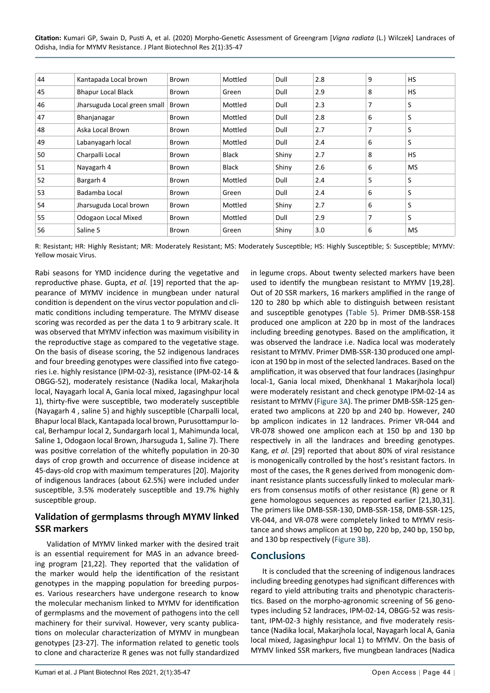| 44 | Kantapada Local brown        | Brown | Mottled | Dull  | 2.8 | 9 | <b>HS</b> |
|----|------------------------------|-------|---------|-------|-----|---|-----------|
| 45 | <b>Bhapur Local Black</b>    | Brown | Green   | Dull  | 2.9 | 8 | <b>HS</b> |
| 46 | Jharsuguda Local green small | Brown | Mottled | Dull  | 2.3 | 7 | S         |
| 47 | Bhanjanagar                  | Brown | Mottled | Dull  | 2.8 | 6 | S         |
| 48 | Aska Local Brown             | Brown | Mottled | Dull  | 2.7 | 7 | S         |
| 49 | Labanyagarh local            | Brown | Mottled | Dull  | 2.4 | 6 | S         |
| 50 | Charpalli Local              | Brown | Black   | Shiny | 2.7 | 8 | <b>HS</b> |
| 51 | Nayagarh 4                   | Brown | Black   | Shiny | 2.6 | 6 | <b>MS</b> |
| 52 | Bargarh 4                    | Brown | Mottled | Dull  | 2.4 | 5 | S         |
| 53 | Badamba Local                | Brown | Green   | Dull  | 2.4 | 6 | S         |
| 54 | Jharsuguda Local brown       | Brown | Mottled | Shiny | 2.7 | 6 | S         |
| 55 | Odogaon Local Mixed          | Brown | Mottled | Dull  | 2.9 | 7 | S         |
| 56 | Saline 5                     | Brown | Green   | Shiny | 3.0 | 6 | <b>MS</b> |

R: Resistant; HR: Highly Resistant; MR: Moderately Resistant; MS: Moderately Susceptible; HS: Highly Susceptible; S: Susceptible; MYMV: Yellow mosaic Virus.

Rabi seasons for YMD incidence during the vegetative and reproductive phase. Gupta, *et al.* [19] reported that the appearance of MYMV incidence in mungbean under natural condition is dependent on the virus vector population and climatic conditions including temperature. The MYMV disease scoring was recorded as per the data 1 to 9 arbitrary scale. It was observed that MYMV infection was maximum visibility in the reproductive stage as compared to the vegetative stage. On the basis of disease scoring, the 52 indigenous landraces and four breeding genotypes were classified into five categories i.e. highly resistance (IPM-02-3), resistance (IPM-02-14 & OBGG-52), moderately resistance (Nadika local, Makarjhola local, Nayagarh local A, Gania local mixed, Jagasinghpur local 1), thirty-five were susceptible, two moderately susceptible (Nayagarh 4 , saline 5) and highly susceptible (Charpalli local, Bhapur local Black, Kantapada local brown, Purusottampur local, Berhampur local 2, Sundargarh local 1, Mahimunda local, Saline 1, Odogaon local Brown, Jharsuguda 1, Saline 7). There was positive correlation of the whitefly population in 20-30 days of crop growth and occurrence of disease incidence at 45-days-old crop with maximum temperatures [20]. Majority of indigenous landraces (about 62.5%) were included under susceptible, 3.5% moderately susceptible and 19.7% highly susceptible group.

## **Validation of germplasms through MYMV linked SSR markers**

Validation of MYMV linked marker with the desired trait is an essential requirement for MAS in an advance breeding program [21,22]. They reported that the validation of the marker would help the identification of the resistant genotypes in the mapping population for breeding purposes. Various researchers have undergone research to know the molecular mechanism linked to MYMV for identification of germplasms and the movement of pathogens into the cell machinery for their survival. However, very scanty publications on molecular characterization of MYMV in mungbean genotypes [23-27]. The information related to genetic tools to clone and characterize R genes was not fully standardized

in legume crops. About twenty selected markers have been used to identify the mungbean resistant to MYMV [19,28]. Out of 20 SSR markers, 16 markers amplified in the range of 120 to 280 bp which able to distinguish between resistant and susceptible genotypes ([Table 5](#page-6-0)). Primer DMB-SSR-158 produced one amplicon at 220 bp in most of the landraces including breeding genotypes. Based on the amplification, it was observed the landrace i.e. Nadica local was moderately resistant to MYMV. Primer DMB-SSR-130 produced one amplicon at 190 bp in most of the selected landraces. Based on the amplification, it was observed that four landraces (Jasinghpur local-1, Gania local mixed, Dhenkhanal 1 Makarjhola local) were moderately resistant and check genotype IPM-02-14 as resistant to MYMV ([Figure 3A](#page-10-0)). The primer DMB-SSR-125 generated two amplicons at 220 bp and 240 bp. However, 240 bp amplicon indicates in 12 landraces. Primer VR-044 and VR-078 showed one amplicon each at 150 bp and 130 bp respectively in all the landraces and breeding genotypes. Kang, *et al*. [29] reported that about 80% of viral resistance is monogenically controlled by the host's resistant factors. In most of the cases, the R genes derived from monogenic dominant resistance plants successfully linked to molecular markers from consensus motifs of other resistance (R) gene or R gene homologous sequences as reported earlier [21,30,31]. The primers like DMB-SSR-130, DMB-SSR-158, DMB-SSR-125, VR-044, and VR-078 were completely linked to MYMV resistance and shows amplicon at 190 bp, 220 bp, 240 bp, 150 bp, and 130 bp respectively ([Figure 3B\)](#page-11-0).

# **Conclusions**

It is concluded that the screening of indigenous landraces including breeding genotypes had significant differences with regard to yield attributing traits and phenotypic characteristics. Based on the morpho-agronomic screening of 56 genotypes including 52 landraces, IPM-02-14, OBGG-52 was resistant, IPM-02-3 highly resistance, and five moderately resistance (Nadika local, Makarjhola local, Nayagarh local A, Gania local mixed, Jagasinghpur local 1) to MYMV. On the basis of MYMV linked SSR markers, five mungbean landraces (Nadica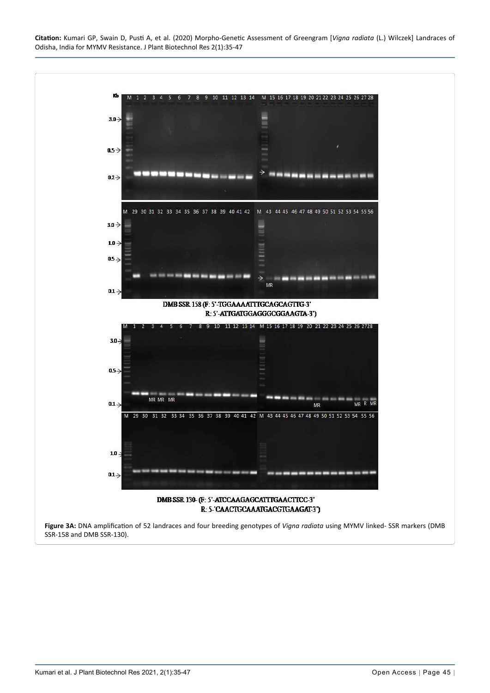<span id="page-10-0"></span>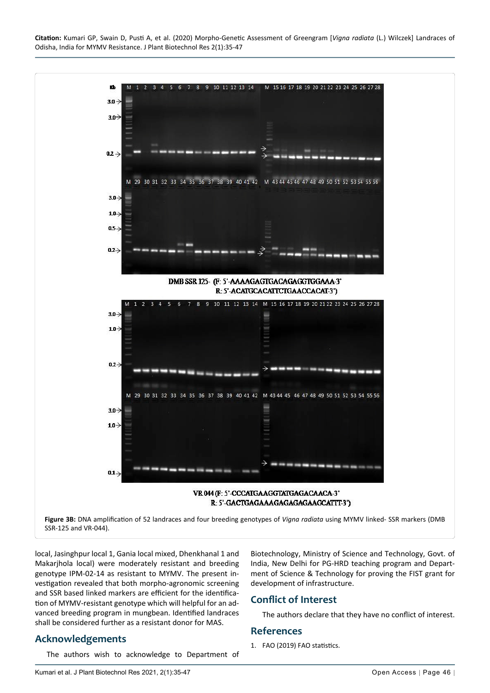<span id="page-11-0"></span>

local, Jasinghpur local 1, Gania local mixed, Dhenkhanal 1 and Makarjhola local) were moderately resistant and breeding genotype IPM-02-14 as resistant to MYMV. The present investigation revealed that both morpho-agronomic screening and SSR based linked markers are efficient for the identification of MYMV-resistant genotype which will helpful for an advanced breeding program in mungbean. Identified landraces shall be considered further as a resistant donor for MAS.

## **Acknowledgements**

The authors wish to acknowledge to Department of

Biotechnology, Ministry of Science and Technology, Govt. of India, New Delhi for PG-HRD teaching program and Department of Science & Technology for proving the FIST grant for development of infrastructure.

## **Conflict of Interest**

The authors declare that they have no conflict of interest.

## **References**

1. [FAO \(2019\) FAO statistics.](http://faostat3.fao.org/download/Q/QC/E.)